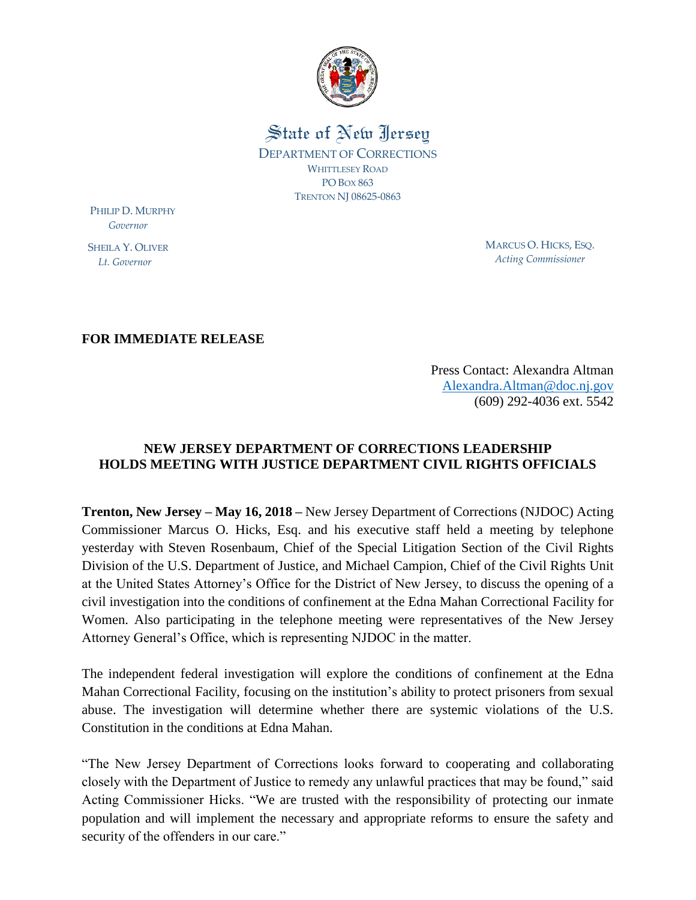

State of New Jersey DEPARTMENT OF CORRECTIONS WHITTLESEY ROAD PO BOX 863 TRENTON NJ 08625-0863

PHILIP D. MURPHY  *Governor*

SHEILA Y. OLIVER  *Lt. Governor*

MARCUS O. HICKS, ESQ. *Acting Commissioner*

**FOR IMMEDIATE RELEASE**

Press Contact: Alexandra Altman [Alexandra.Altman@doc.nj.gov](mailto:Alexandra.Altman@doc.nj.gov) (609) 292-4036 ext. 5542

## **NEW JERSEY DEPARTMENT OF CORRECTIONS LEADERSHIP HOLDS MEETING WITH JUSTICE DEPARTMENT CIVIL RIGHTS OFFICIALS**

**Trenton, New Jersey – May 16, 2018 –** New Jersey Department of Corrections (NJDOC) Acting Commissioner Marcus O. Hicks, Esq. and his executive staff held a meeting by telephone yesterday with Steven Rosenbaum, Chief of the Special Litigation Section of the Civil Rights Division of the U.S. Department of Justice, and Michael Campion, Chief of the Civil Rights Unit at the United States Attorney's Office for the District of New Jersey, to discuss the opening of a civil investigation into the conditions of confinement at the Edna Mahan Correctional Facility for Women. Also participating in the telephone meeting were representatives of the New Jersey Attorney General's Office, which is representing NJDOC in the matter.

The independent federal investigation will explore the conditions of confinement at the Edna Mahan Correctional Facility, focusing on the institution's ability to protect prisoners from sexual abuse. The investigation will determine whether there are systemic violations of the U.S. Constitution in the conditions at Edna Mahan.

"The New Jersey Department of Corrections looks forward to cooperating and collaborating closely with the Department of Justice to remedy any unlawful practices that may be found," said Acting Commissioner Hicks. "We are trusted with the responsibility of protecting our inmate population and will implement the necessary and appropriate reforms to ensure the safety and security of the offenders in our care."